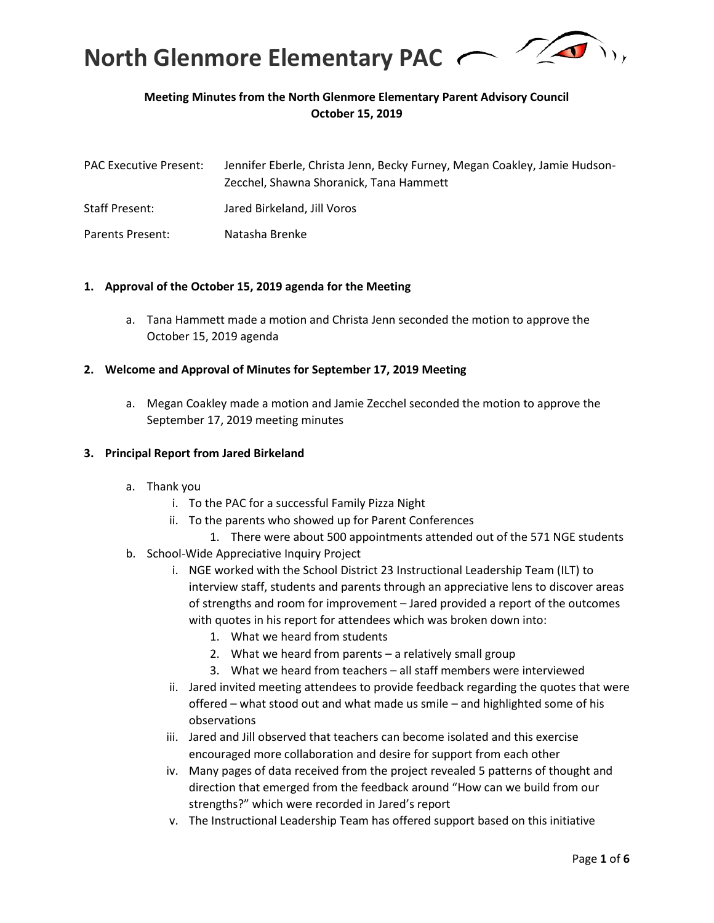

# **Meeting Minutes from the North Glenmore Elementary Parent Advisory Council October 15, 2019**

| <b>PAC Executive Present:</b> | Jennifer Eberle, Christa Jenn, Becky Furney, Megan Coakley, Jamie Hudson-<br>Zecchel, Shawna Shoranick, Tana Hammett |
|-------------------------------|----------------------------------------------------------------------------------------------------------------------|
| <b>Staff Present:</b>         | Jared Birkeland, Jill Voros                                                                                          |
| Parents Present:              | Natasha Brenke                                                                                                       |

#### **1. Approval of the October 15, 2019 agenda for the Meeting**

a. Tana Hammett made a motion and Christa Jenn seconded the motion to approve the October 15, 2019 agenda

#### **2. Welcome and Approval of Minutes for September 17, 2019 Meeting**

a. Megan Coakley made a motion and Jamie Zecchel seconded the motion to approve the September 17, 2019 meeting minutes

#### **3. Principal Report from Jared Birkeland**

- a. Thank you
	- i. To the PAC for a successful Family Pizza Night
	- ii. To the parents who showed up for Parent Conferences
	- 1. There were about 500 appointments attended out of the 571 NGE students
- b. School-Wide Appreciative Inquiry Project
	- i. NGE worked with the School District 23 Instructional Leadership Team (ILT) to interview staff, students and parents through an appreciative lens to discover areas of strengths and room for improvement – Jared provided a report of the outcomes with quotes in his report for attendees which was broken down into:
		- 1. What we heard from students
		- 2. What we heard from parents a relatively small group
		- 3. What we heard from teachers all staff members were interviewed
	- ii. Jared invited meeting attendees to provide feedback regarding the quotes that were offered – what stood out and what made us smile – and highlighted some of his observations
	- iii. Jared and Jill observed that teachers can become isolated and this exercise encouraged more collaboration and desire for support from each other
	- iv. Many pages of data received from the project revealed 5 patterns of thought and direction that emerged from the feedback around "How can we build from our strengths?" which were recorded in Jared's report
	- v. The Instructional Leadership Team has offered support based on this initiative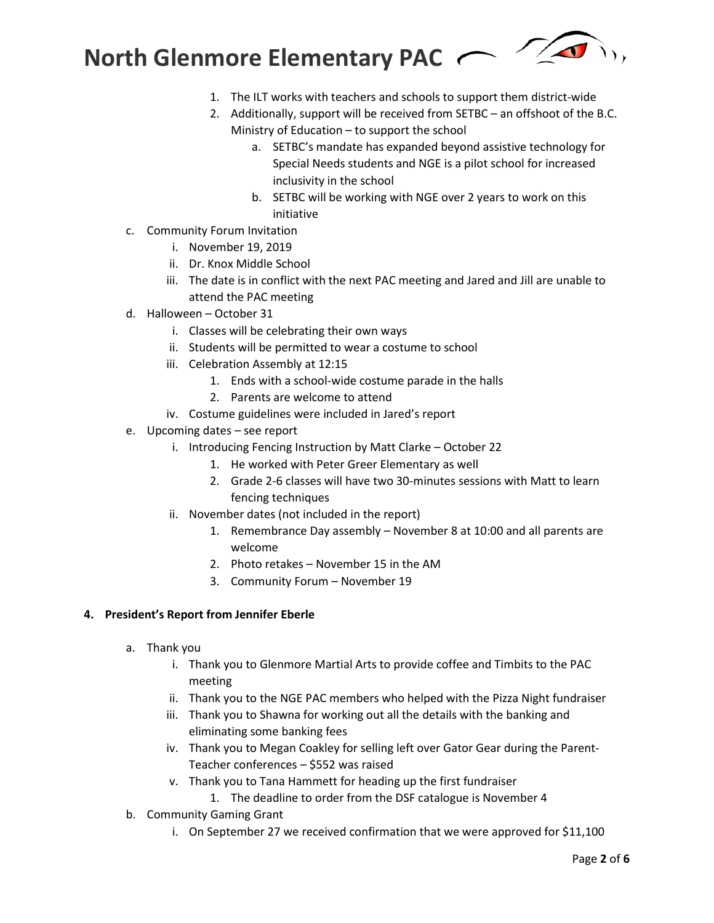

- 1. The ILT works with teachers and schools to support them district-wide
- 2. Additionally, support will be received from SETBC an offshoot of the B.C. Ministry of Education – to support the school
	- a. SETBC's mandate has expanded beyond assistive technology for Special Needs students and NGE is a pilot school for increased inclusivity in the school
	- b. SETBC will be working with NGE over 2 years to work on this initiative
- c. Community Forum Invitation
	- i. November 19, 2019
	- ii. Dr. Knox Middle School
	- iii. The date is in conflict with the next PAC meeting and Jared and Jill are unable to attend the PAC meeting
- d. Halloween October 31
	- i. Classes will be celebrating their own ways
	- ii. Students will be permitted to wear a costume to school
	- iii. Celebration Assembly at 12:15
		- 1. Ends with a school-wide costume parade in the halls
		- 2. Parents are welcome to attend
	- iv. Costume guidelines were included in Jared's report
- e. Upcoming dates see report
	- i. Introducing Fencing Instruction by Matt Clarke October 22
		- 1. He worked with Peter Greer Elementary as well
		- 2. Grade 2-6 classes will have two 30-minutes sessions with Matt to learn fencing techniques
	- ii. November dates (not included in the report)
		- 1. Remembrance Day assembly November 8 at 10:00 and all parents are welcome
		- 2. Photo retakes November 15 in the AM
		- 3. Community Forum November 19

### **4. President's Report from Jennifer Eberle**

- a. Thank you
	- i. Thank you to Glenmore Martial Arts to provide coffee and Timbits to the PAC meeting
	- ii. Thank you to the NGE PAC members who helped with the Pizza Night fundraiser
	- iii. Thank you to Shawna for working out all the details with the banking and eliminating some banking fees
	- iv. Thank you to Megan Coakley for selling left over Gator Gear during the Parent-Teacher conferences – \$552 was raised
	- v. Thank you to Tana Hammett for heading up the first fundraiser
		- 1. The deadline to order from the DSF catalogue is November 4
- b. Community Gaming Grant
	- i. On September 27 we received confirmation that we were approved for \$11,100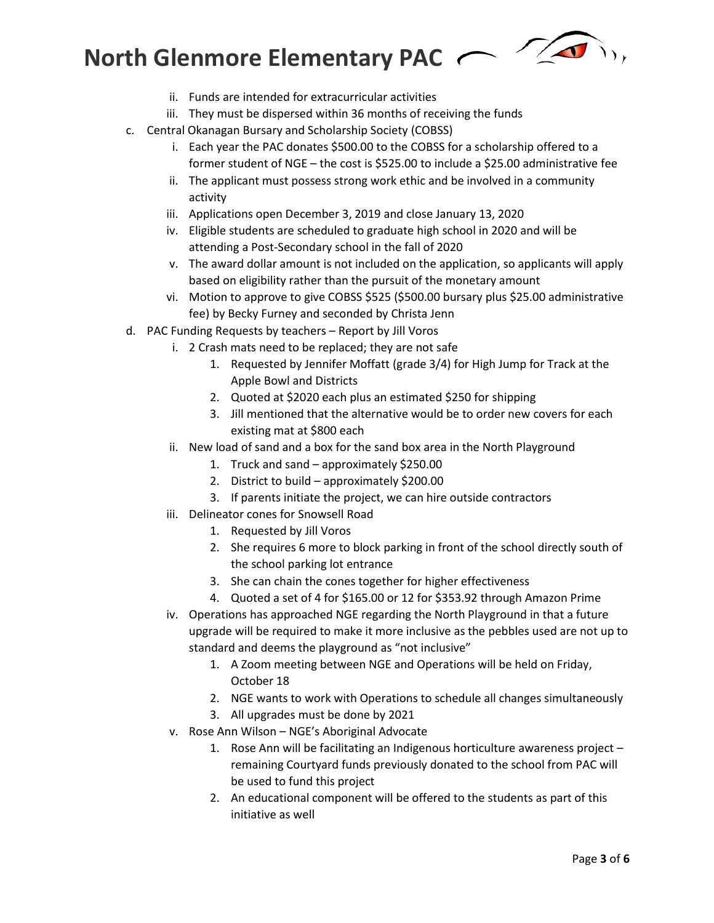# **North Glenmore Elementary PAC**



- ii. Funds are intended for extracurricular activities
- iii. They must be dispersed within 36 months of receiving the funds
- c. Central Okanagan Bursary and Scholarship Society (COBSS)
	- i. Each year the PAC donates \$500.00 to the COBSS for a scholarship offered to a former student of NGE – the cost is \$525.00 to include a \$25.00 administrative fee
	- ii. The applicant must possess strong work ethic and be involved in a community activity
	- iii. Applications open December 3, 2019 and close January 13, 2020
	- iv. Eligible students are scheduled to graduate high school in 2020 and will be attending a Post-Secondary school in the fall of 2020
	- v. The award dollar amount is not included on the application, so applicants will apply based on eligibility rather than the pursuit of the monetary amount
	- vi. Motion to approve to give COBSS \$525 (\$500.00 bursary plus \$25.00 administrative fee) by Becky Furney and seconded by Christa Jenn
- d. PAC Funding Requests by teachers Report by Jill Voros
	- i. 2 Crash mats need to be replaced; they are not safe
		- 1. Requested by Jennifer Moffatt (grade 3/4) for High Jump for Track at the Apple Bowl and Districts
		- 2. Quoted at \$2020 each plus an estimated \$250 for shipping
		- 3. Jill mentioned that the alternative would be to order new covers for each existing mat at \$800 each
	- ii. New load of sand and a box for the sand box area in the North Playground
		- 1. Truck and sand approximately \$250.00
		- 2. District to build approximately \$200.00
		- 3. If parents initiate the project, we can hire outside contractors
	- iii. Delineator cones for Snowsell Road
		- 1. Requested by Jill Voros
		- 2. She requires 6 more to block parking in front of the school directly south of the school parking lot entrance
		- 3. She can chain the cones together for higher effectiveness
		- 4. Quoted a set of 4 for \$165.00 or 12 for \$353.92 through Amazon Prime
	- iv. Operations has approached NGE regarding the North Playground in that a future upgrade will be required to make it more inclusive as the pebbles used are not up to standard and deems the playground as "not inclusive"
		- 1. A Zoom meeting between NGE and Operations will be held on Friday, October 18
		- 2. NGE wants to work with Operations to schedule all changes simultaneously
		- 3. All upgrades must be done by 2021
	- v. Rose Ann Wilson NGE's Aboriginal Advocate
		- 1. Rose Ann will be facilitating an Indigenous horticulture awareness project remaining Courtyard funds previously donated to the school from PAC will be used to fund this project
		- 2. An educational component will be offered to the students as part of this initiative as well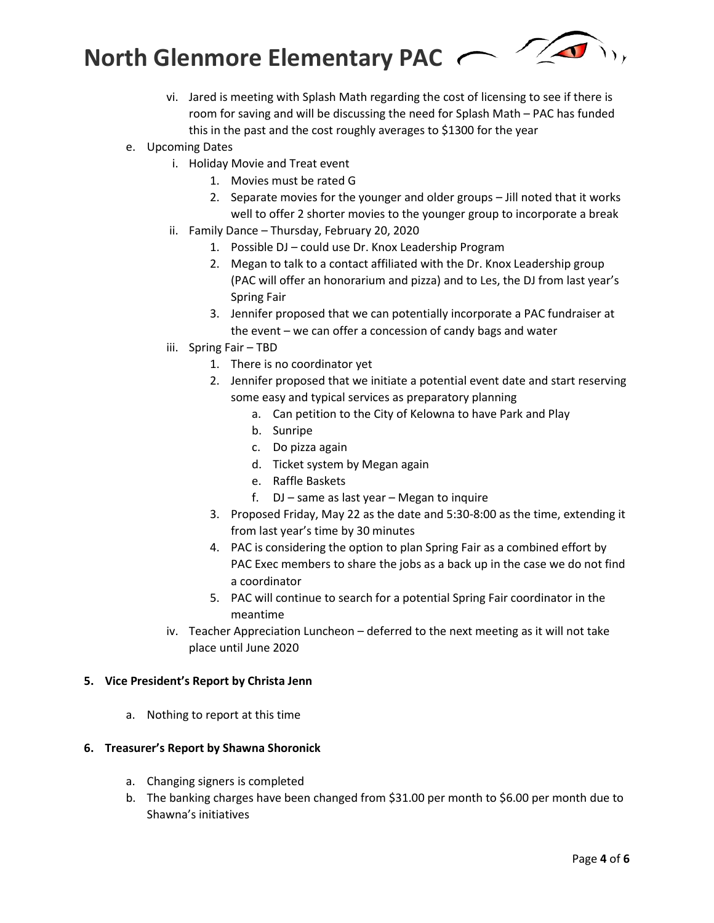**North Glenmore Elementary PAC** 



vi. Jared is meeting with Splash Math regarding the cost of licensing to see if there is room for saving and will be discussing the need for Splash Math – PAC has funded this in the past and the cost roughly averages to \$1300 for the year

# e. Upcoming Dates

- i. Holiday Movie and Treat event
	- 1. Movies must be rated G
	- 2. Separate movies for the younger and older groups Jill noted that it works well to offer 2 shorter movies to the younger group to incorporate a break
- ii. Family Dance Thursday, February 20, 2020
	- 1. Possible DJ could use Dr. Knox Leadership Program
	- 2. Megan to talk to a contact affiliated with the Dr. Knox Leadership group (PAC will offer an honorarium and pizza) and to Les, the DJ from last year's Spring Fair
	- 3. Jennifer proposed that we can potentially incorporate a PAC fundraiser at the event – we can offer a concession of candy bags and water
- iii. Spring Fair TBD
	- 1. There is no coordinator yet
	- 2. Jennifer proposed that we initiate a potential event date and start reserving some easy and typical services as preparatory planning
		- a. Can petition to the City of Kelowna to have Park and Play
		- b. Sunripe
		- c. Do pizza again
		- d. Ticket system by Megan again
		- e. Raffle Baskets
		- f. DJ same as last year Megan to inquire
	- 3. Proposed Friday, May 22 as the date and 5:30-8:00 as the time, extending it from last year's time by 30 minutes
	- 4. PAC is considering the option to plan Spring Fair as a combined effort by PAC Exec members to share the jobs as a back up in the case we do not find a coordinator
	- 5. PAC will continue to search for a potential Spring Fair coordinator in the meantime
- iv. Teacher Appreciation Luncheon deferred to the next meeting as it will not take place until June 2020

### **5. Vice President's Report by Christa Jenn**

a. Nothing to report at this time

### **6. Treasurer's Report by Shawna Shoronick**

- a. Changing signers is completed
- b. The banking charges have been changed from \$31.00 per month to \$6.00 per month due to Shawna's initiatives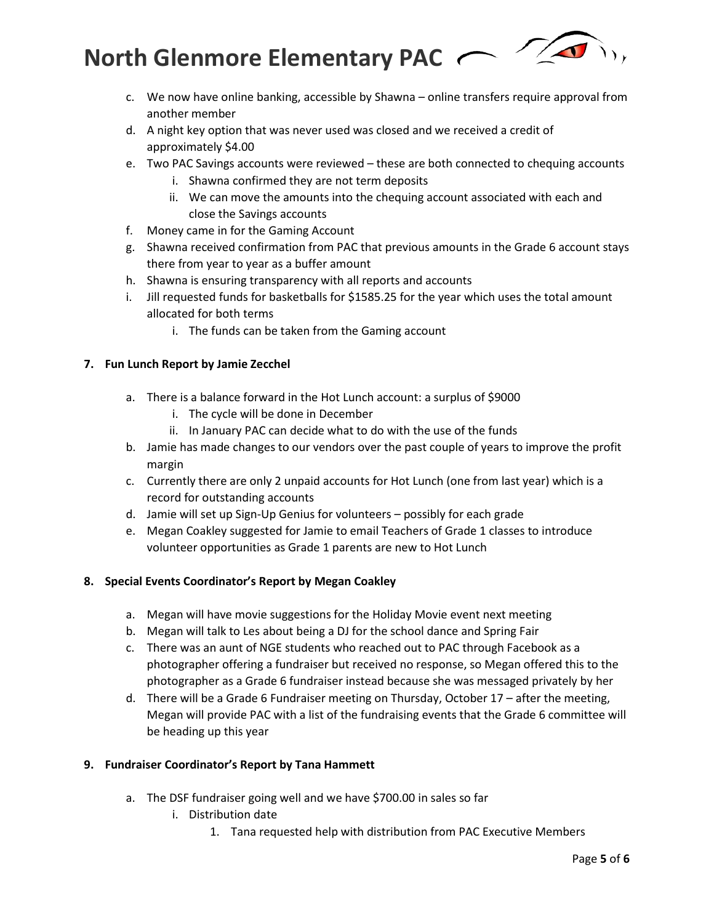$\sqrt{2}$ **North Glenmore Elementary PAC**

- c. We now have online banking, accessible by Shawna online transfers require approval from another member
- d. A night key option that was never used was closed and we received a credit of approximately \$4.00
- e. Two PAC Savings accounts were reviewed these are both connected to chequing accounts
	- i. Shawna confirmed they are not term deposits
	- ii. We can move the amounts into the chequing account associated with each and close the Savings accounts
- f. Money came in for the Gaming Account
- g. Shawna received confirmation from PAC that previous amounts in the Grade 6 account stays there from year to year as a buffer amount
- h. Shawna is ensuring transparency with all reports and accounts
- i. Jill requested funds for basketballs for \$1585.25 for the year which uses the total amount allocated for both terms
	- i. The funds can be taken from the Gaming account

## **7. Fun Lunch Report by Jamie Zecchel**

- a. There is a balance forward in the Hot Lunch account: a surplus of \$9000
	- i. The cycle will be done in December
	- ii. In January PAC can decide what to do with the use of the funds
- b. Jamie has made changes to our vendors over the past couple of years to improve the profit margin
- c. Currently there are only 2 unpaid accounts for Hot Lunch (one from last year) which is a record for outstanding accounts
- d. Jamie will set up Sign-Up Genius for volunteers possibly for each grade
- e. Megan Coakley suggested for Jamie to email Teachers of Grade 1 classes to introduce volunteer opportunities as Grade 1 parents are new to Hot Lunch

## **8. Special Events Coordinator's Report by Megan Coakley**

- a. Megan will have movie suggestions for the Holiday Movie event next meeting
- b. Megan will talk to Les about being a DJ for the school dance and Spring Fair
- c. There was an aunt of NGE students who reached out to PAC through Facebook as a photographer offering a fundraiser but received no response, so Megan offered this to the photographer as a Grade 6 fundraiser instead because she was messaged privately by her
- d. There will be a Grade 6 Fundraiser meeting on Thursday, October 17 after the meeting, Megan will provide PAC with a list of the fundraising events that the Grade 6 committee will be heading up this year

## **9. Fundraiser Coordinator's Report by Tana Hammett**

- a. The DSF fundraiser going well and we have \$700.00 in sales so far
	- i. Distribution date
		- 1. Tana requested help with distribution from PAC Executive Members